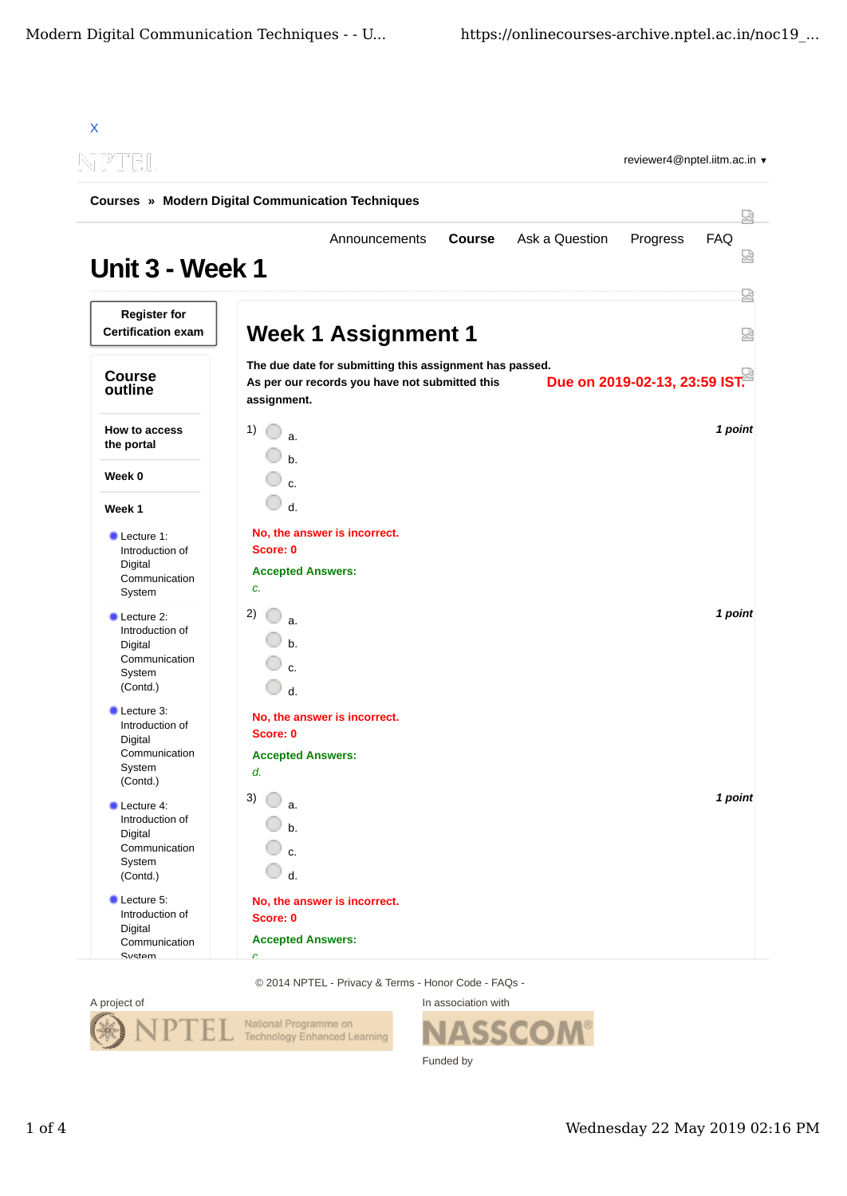| NPTEL<br>reviewer4@nptel.iitm.ac.in ▼<br><b>Courses » Modern Digital Communication Techniques</b><br>덣 |                                                                                                                                                           |         |  |  |  |
|--------------------------------------------------------------------------------------------------------|-----------------------------------------------------------------------------------------------------------------------------------------------------------|---------|--|--|--|
|                                                                                                        |                                                                                                                                                           |         |  |  |  |
| <b>Register for</b><br><b>Certification exam</b>                                                       | <b>Week 1 Assignment 1</b>                                                                                                                                | 덣<br>덣  |  |  |  |
| <b>Course</b><br>outline                                                                               | The due date for submitting this assignment has passed.<br>Due on 2019-02-13, 23:59 IST.<br>As per our records you have not submitted this<br>assignment. |         |  |  |  |
| How to access<br>the portal                                                                            | 1)<br>a.<br>h                                                                                                                                             | 1 point |  |  |  |
| Week 0                                                                                                 | c.                                                                                                                                                        |         |  |  |  |
| Week 1                                                                                                 | $d$ .                                                                                                                                                     |         |  |  |  |
| Lecture 1:<br>Introduction of<br>Digital<br>Communication<br>System                                    | No, the answer is incorrect.<br>Score: 0<br><b>Accepted Answers:</b><br>c.                                                                                |         |  |  |  |
| <b>Lecture 2:</b><br>Introduction of<br>Digital<br>Communication<br>System<br>(Contd.)                 | 2)<br>a.<br>$b$<br>c.<br>$d$ .                                                                                                                            | 1 point |  |  |  |
| Lecture 3:<br>Introduction of<br>Digital<br>Communication<br>System<br>(Contd.)                        | No, the answer is incorrect.<br>Score: 0<br><b>Accepted Answers:</b><br>d.                                                                                |         |  |  |  |
| Lecture 4:<br>Introduction of<br>Digital<br>Communication<br>System<br>(Contd.)                        | 3)<br>a.<br>b.<br>c.<br>d.                                                                                                                                | 1 point |  |  |  |
| Lecture 5:<br>Introduction of<br>Digital<br>Communication<br>System                                    | No, the answer is incorrect.<br>Score: 0<br><b>Accepted Answers:</b><br>Ċ.                                                                                |         |  |  |  |

© 2014 NPTEL - Privacy & Terms - Honor Code - FAQs -



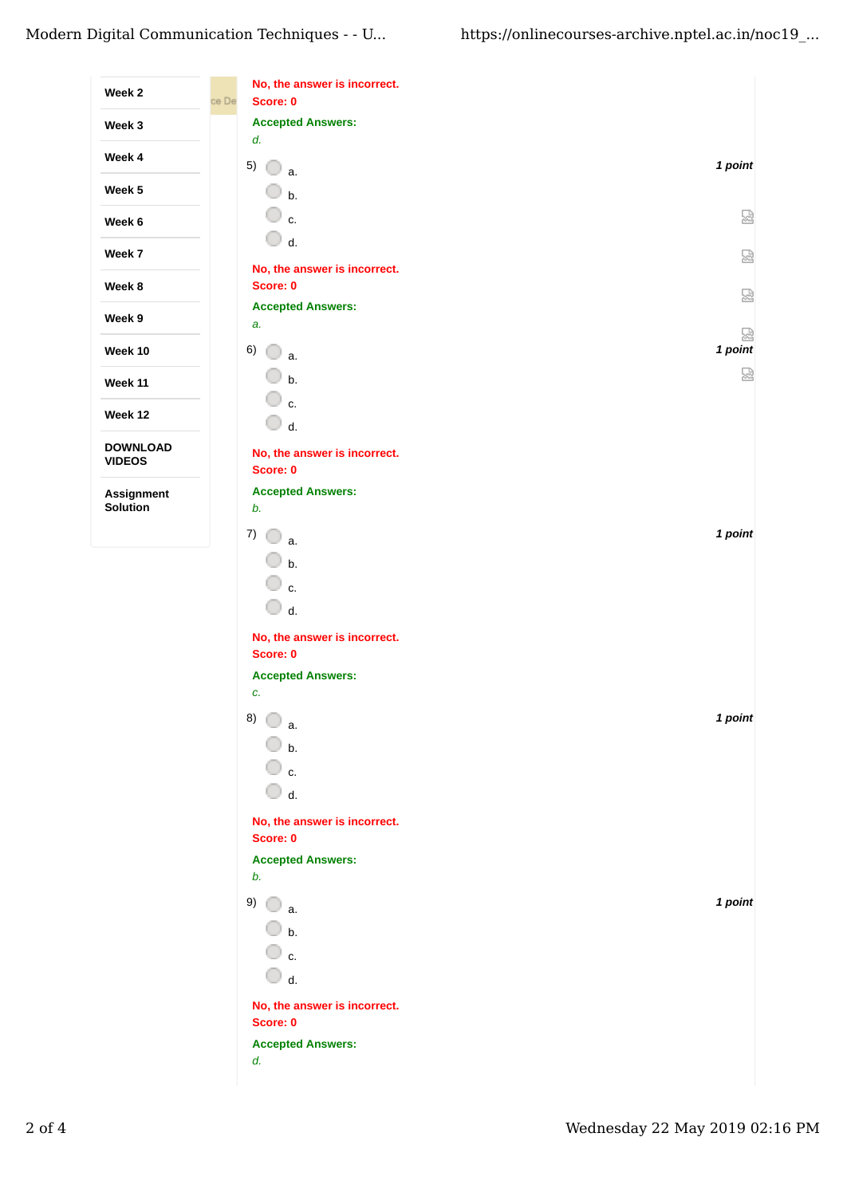| Week 2                           | No, the answer is incorrect.<br>Score: 0<br>ce De |              |
|----------------------------------|---------------------------------------------------|--------------|
| Week 3                           | <b>Accepted Answers:</b><br>d.                    |              |
| Week 4                           | 5)<br>O<br>a.                                     | 1 point      |
| Week 5                           | 0<br>b.                                           |              |
| Week 6                           | ○ c.                                              | 없            |
| Week 7                           | O<br>d.                                           | 덣            |
| Week 8                           | No, the answer is incorrect.<br>Score: 0          | 덣            |
| Week 9                           | <b>Accepted Answers:</b><br>a.                    |              |
| Week 10                          | 6)<br>O<br>a.                                     | 恳<br>1 point |
| Week 11                          | O<br>b.                                           | 덣            |
| Week 12                          | 0<br>c.<br>O                                      |              |
| <b>DOWNLOAD</b><br><b>VIDEOS</b> | d.<br>No, the answer is incorrect.<br>Score: 0    |              |
| Assignment<br>Solution           | <b>Accepted Answers:</b><br>b.                    |              |
|                                  | 7)<br>a.                                          | 1 point      |
|                                  | b.                                                |              |
|                                  | O<br>c.<br>$\Box$ d.                              |              |
|                                  | No, the answer is incorrect.<br>Score: 0          |              |
|                                  | <b>Accepted Answers:</b>                          |              |
|                                  | c.<br>8)<br>a.                                    | 1 point      |
|                                  | $\bigcirc$ b.                                     |              |
|                                  | ◯ c.<br>$\bigcirc$ d.                             |              |
|                                  | No, the answer is incorrect.                      |              |
|                                  | Score: 0                                          |              |
|                                  | <b>Accepted Answers:</b><br>b.                    |              |
|                                  | 9)<br>O<br>a.                                     | 1 point      |
|                                  | $\Box$ b.                                         |              |
|                                  | ◯ c.<br>$\bigcirc$ d.                             |              |
|                                  | No, the answer is incorrect.                      |              |
|                                  | Score: 0                                          |              |
|                                  | <b>Accepted Answers:</b><br>d.                    |              |
|                                  |                                                   |              |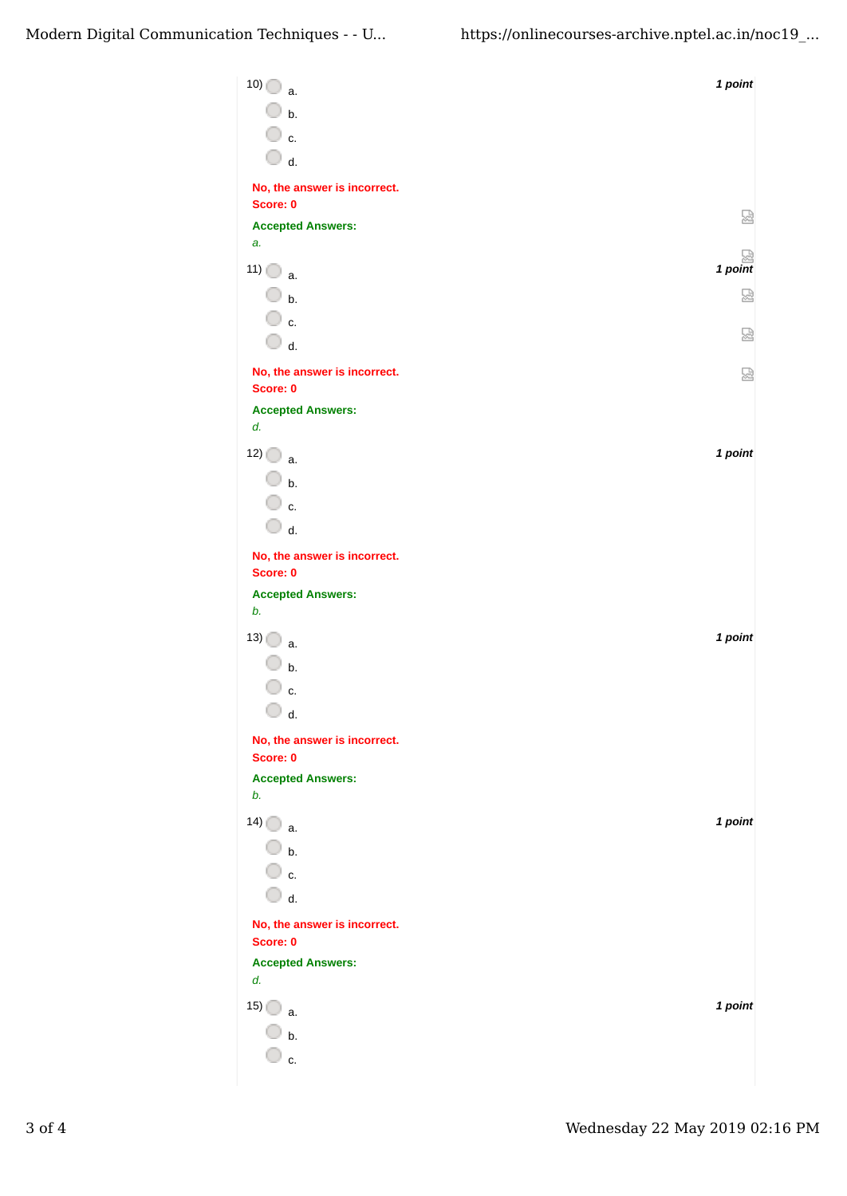| 10)<br>a.                                | 1 point |
|------------------------------------------|---------|
| $\overline{\mathbb{O}}$ b.               |         |
| $\overline{\mathbb{O}}$ c.               |         |
| $\bigcirc$ d.                            |         |
| No, the answer is incorrect.             |         |
| Score: 0                                 | 썮       |
| <b>Accepted Answers:</b><br>a.           |         |
| 11)<br>a.                                | 1 point |
| $\overline{\mathbb{O}}$ b.               | 덣       |
| ○ c.                                     |         |
| $\bigcirc$ d.                            | 덣       |
| No, the answer is incorrect.             | 눲       |
| Score: 0                                 |         |
| <b>Accepted Answers:</b><br>d.           |         |
| 12)                                      | 1 point |
| a.<br>$\bigcirc$ b.                      |         |
| ○ c.                                     |         |
| $\bigcirc$ d.                            |         |
| No, the answer is incorrect.             |         |
| Score: 0                                 |         |
| <b>Accepted Answers:</b>                 |         |
| b.                                       |         |
| $13)$ a.                                 | 1 point |
| $\mathsf{b}$ .                           |         |
| c.<br>O                                  |         |
| d.                                       |         |
| No, the answer is incorrect.<br>Score: 0 |         |
| <b>Accepted Answers:</b>                 |         |
| b.                                       |         |
| 14)<br>a.                                | 1 point |
| $\bigcirc$ b.                            |         |
| ◯ c.                                     |         |
| $\overline{\mathbb{O}}$ d.               |         |
| No, the answer is incorrect.<br>Score: 0 |         |
| <b>Accepted Answers:</b>                 |         |
| d.                                       |         |
| 15)<br>a.                                | 1 point |
| b.                                       |         |
| ∣ c.                                     |         |